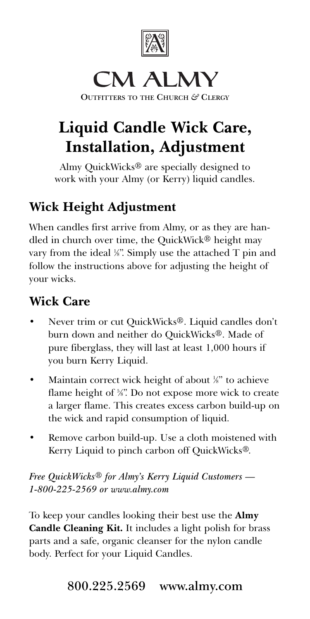

# **CM ALMY**

**OUTFITTERS TO THE CHURCH** *&* **CLERGY**

# **Liquid Candle Wick Care, Installation, Adjustment**

Almy QuickWicks® are specially designed to work with your Almy (or Kerry) liquid candles.

## **Wick Height Adjustment**

When candles first arrive from Almy, or as they are handled in church over time, the QuickWick® height may vary from the ideal ¼". Simply use the attached T pin and follow the instructions above for adjusting the height of your wicks.

### **Wick Care**

- Never trim or cut QuickWicks®. Liquid candles don't burn down and neither do QuickWicks®. Made of pure fiberglass, they will last at least 1,000 hours if you burn Kerry Liquid.
- Maintain correct wick height of about *'k*" to achieve flame height of 5 ⁄8". Do not expose more wick to create a larger flame. This creates excess carbon build-up on the wick and rapid consumption of liquid.
- Remove carbon build-up. Use a cloth moistened with Kerry Liquid to pinch carbon off QuickWicks®.

*Free QuickWicks*® *for Almy's Kerry Liquid Customers — 1-800-225-2569 or www.almy.com*

To keep your candles looking their best use the **Almy Candle Cleaning Kit.** It includes a light polish for brass parts and a safe, organic cleanser for the nylon candle body. Perfect for your Liquid Candles.